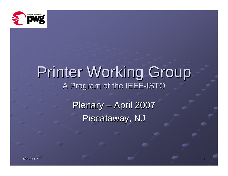

# Printer Working Group A Program of the IEEE-ISTO

Plenary – April 2007 Piscataway, NJ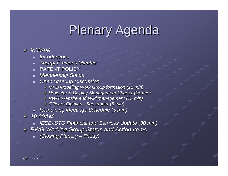# Plenary Agenda

#### *9:00AM*

- *Introductions Introductions*
- $\blacksquare$ *Accept Previous Minutes Accept Previous Minutes*
- $\blacksquare$  PATENT POLICY
- *Membership Status Membership Status*
- $\blacksquare$ **Open Steering Discussion** 
	- **MFD Modeling Work Group formation (15 min)**
	- *Projector & Display Management Charter (15 min) Projector & Display Management Charter (15 min)*
	- *PWG Website and Wiki management (15 min)*
	- **Officers Election –September (5 min)**
- *Remaining Meetings Schedule (5 min) Remaining Meetings Schedule (5 min)*

*10:00AM 10:00AM*

- ┙ *IEEE-ISTO Financial and Services Update (30 min)*
- *PWG Working Group Status and Action Items PWG Working Group Status and Action Items*
	- *(Closing Plenary (Closing Plenary – Friday) Friday)*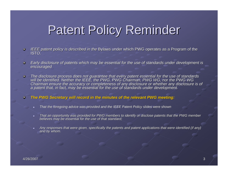# **Patent Policy Reminder**

- *IEEE patent policy is described in the Bylaws under which PWG operates as a Program of the ISTO.*  $\bullet$
- Early disclosure of patents which may be essential for the use of standards under development is encouraged  $\bullet$
- The disclosure process does not guarantee that every patent essential for the use of standards<br>will be identified. Neither the IEEE, the PWG, PWG Chairman, PWG WG, nor the PWG WG  $\bullet$ Chairman ensure the accuracy or completeness of any disclosure or whether any disclosure is of<br>a patent that, in fact, may be essential for the use of standards under development.
- *The PWG Secretary will record in the minutes of the relevant PWG meeting: meeting:*  $\bullet$ 
	- *That the foregoing advice was provided and the IEEE Patent Policy slides were shown*
	- $\blacksquare$ That an opportunity was provided for PWG members to identify or disclose patents that the PWG member<br>believes may be essential for the use of that standard;
	- ш Any responses that were given, specifically the patents and patent applications that were identified (if any)<br>and by whom.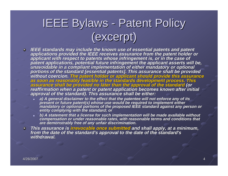### IEEE Bylaws - Patent Policy (excerpt) (excerpt)

- **EEE** standards may include the known use of essential patents and patent<br>applications provided the IEEE receives assurance from the patent holder or<br>applicant with respect to patents whose infringement is, or in the case portions of the standard [essential patents]. This assurance shall be provided<br>without coercion. The patent holder or applicant should provide this assurance<br>as soon as reasonably feasible in the standards development proc
	- ш a) A general disclaimer to the effect that the patentee will not enforce any of its<br>present or future patent(s) whose use would be required to implement either<br>mandatory or optional portions of the proposed IEEE standard a
	- ш b) A statement that a license for such implementation will be made available without compensation or under reasonable rates, with reasonable terms and conditions that are demonstrably free of any unfair discrimination.

This assurance is <mark>irrevocable once submitted</mark> and shall apply, at a minimum,<br>from the date of the standard's approval to the date of the standard's<br>withdrawal.  $\bullet$ *withdrawal.*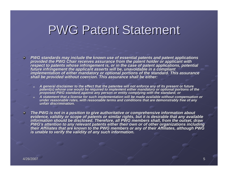#### **PWG Patent Statement**

- PWG standards may include the known use of essential patents and patent applications<br>provided the PWG Chair receives assurance from the patent holder or applicant with  $\bullet$ *respect to patents whose infringement is, or in the case of patent applications, potential* future infringement the applicant asserts will be, unavoidable in a compliant<br>implementation of either mandatory or optional portions of the standard. This assurance<br>shall be provided without coercion. This assurance shall
	- *a) A general disclaimer to the effect that the patentee will not enforce any of its present or future force of its present or future*  patent(s) whose use would be required to implement either mandatory or optional portions of the<br>proposed PWG standard against any person or entity complying with the standard; or
	- A statement that a license for such implementation will be made available without compensation or *under reasonable rates, with reasonable terms and conditions that are demonstrably free of any t are demonstrably free of any unfair discrimination. discrimination.*
- The PWG is not in a position to give authoritative or comprehensive information about<br>evidence, validity or scope of patents or similar rights, but it is desirable that any available *information should be disclosed. Therefore, all PWG members shal erefore, all PWG members shall, from the outset, draw l, from the outset, draw*  PWG's attention to any relevant patents either their own or of other organizations including<br>their Affiliates that are known to the PWG members or any of their Affiliates, although PWG<br>is unable to verify the validity of a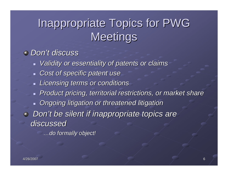### Inappropriate Topics for PWG **Meetings**

#### *Don't discuss t discuss*

- *Validity or essentiality of patents or claims Validity or essentiality of patents or claims*
- *Cost of specific patent use Cost of specific patent use*
- *Licensing terms or conditions Licensing terms or conditions*
- *Product pricing, territorial restrictions, or market share Product pricing, territorial restrictions, or market share*
- **Diang-bidge Digation or threatened litigation or threatened litigation**
- *Don't be silent if inappropriate topics are discussed discussed*

*…do formally object! do formally object!*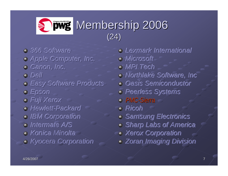#### Membership 2006 Membership 2006 (24)

- *366 Software 366 Software 366 Software*
- *Apple Computer, Inc. Apple Computer, Inc. Apple Computer, Inc.*
- *Canon, Inc. Canon, Inc. Canon, Inc.*
- *Dell Dell*
- *Easy Software Products Easy Software Products Easy Software Products*
- *Epson Epson*
- *Fuji Xerox Fuji Xerox Fuji Xerox*
- *Hewlett Hewlett Hewlett--Packard Packard Packard*
- *IBM Corporation IBM Corporation IBM Corporation*
- *Intermate Intermate Intermate A/S A/S*
- *Konica Minolta Konica Minolta Konica Minolta*
- *Kyocera Corporation Kyocera Corporation Kyocera Corporation*

*Lexmark International Lexmark International Lexmark International Microsoft Microsoft Microsoft MPI Tech MPI Tech MPI TechNorthlake Software, Inc Northlake Software, Inc Northlake Software, Inc Oasis Semiconductor Oasis Semiconductor Oasis Semiconductor Peerless Systems Peerless Systems Peerless Systems PMC-Sierra Ricoh RicohSamsung Electronics Samsung Electronics Samsung Electronics Sharp Labs of America Sharp Labs of America Sharp Labs of America Xerox Corporation Xerox Corporation Xerox Corporation Zoran Zoran Imaging Division Imaging Division Imaging Division*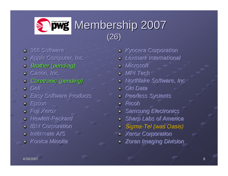

- *366 Software 366 Software 366 Software*
- *Apple Computer, Inc. Apple Computer, Inc. Apple Computer, Inc.*
- *Brother (pending) Brother (pending)*
- *Canon, Inc. Canon, Inc. Canon, Inc.*
- *Coretronic Coretronic (pending) (pending)*
- *Dell Dell*
- *Easy Software Products Easy Software Products Easy Software Products*
- *Epson Epson*
- *Fuji Xerox Fuji Xerox Fuji Xerox*
- *Hewlett Hewlett Hewlett--Packard Packard Packard*
- *IBM Corporation IBM Corporation IBM Corporation*
- *Intermate Intermate Intermate A/S A/S*
- *Konica Minolta Konica Minolta Konica Minolta*
- *Kyocera Corporation Kyocera Corporation Kyocera Corporation*
- *Lexmark International Lexmark International Lexmark International*
- *Microsoft Microsoft Microsoft*
- *MPI Tech MPI Tech MPI Tech*
- *Northlake Software, Inc Northlake Software, Inc Northlake Software, Inc*
- *Oki Data Oki Data Oki Data*
- *Peerless Systems Peerless Systems Peerless Systems*
- *Ricoh Ricoh*
- *Samsung Electronics Samsung Electronics Samsung Electronics*
- *Sharp Labs of America Sharp Labs of America Sharp Labs of America*
- *Sigma-Tel (was Oasis) Tel (was Oasis)*
- *Xerox Corporation Xerox Corporation Xerox Corporation*
- *Zoran Zoran Imaging Division Imaging Division Imaging Division*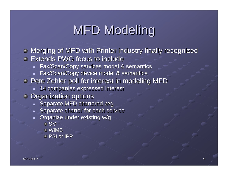# **MFD Modeling**

- $\bullet$  Merging of MFD with Printer industry finally recognized
- Extends PWG focus to include Extends PWG focus to include
	- $\blacksquare$  Fax/Scan/Copy services model & semantics
	- $\blacksquare$  Fax/Scan/Copy device model & semantics
- **Pete Zehler poll for interest in modeling MFD** 
	- $\textcolor{red}{\bullet}$  14 companies expressed interest
- **Organization options** 
	- $\blacksquare$  Separate MFD chartered w/g
	- $\blacksquare$  Separate charter for each service
	- $\blacksquare$ Organize under existing w/g
		- **SM**
		- WIMS
		- PSI or IPP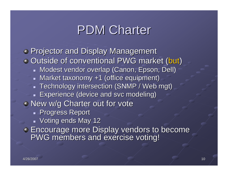### PDM Charter

**Projector and Display Management**  $\bullet$  Outside of conventional PWG market (but)  $\blacksquare$  Modest vendor overlap (Canon, Epson, Dell) - Market taxonomy +1 (office equipment)  $\textcolor{red}{\bullet}$  Technology intersection (SNMP / Web mgt) **Experience (device and svc modeling)**  $\blacksquare$  New w/g Charter out for vote **Progress Report**  $\blacksquare$  Voting ends May 12 **Encourage more Display vendors to become PWG members and exercise voting!**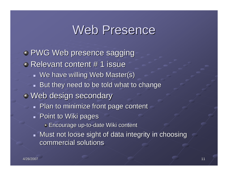#### Web Presence

**• PWG Web presence sagging** Relevant content # 1 issue  $\blacksquare$  We have willing Web Master(s)  $\blacksquare$  But they need to be told what to change  $\blacksquare$  Web design secondary **Plan to minimize front page content Point to Wiki pages Encourage up-to-date Wiki content** Must not loose sight of data integrity in choosing commercial solutions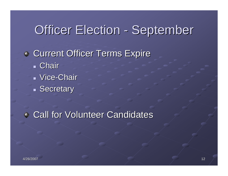#### Officer Election - September

**Current Officer Terms Expire**  Chair Vice-Chair Secretary

**Call for Volunteer Candidates**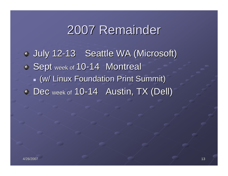### 2007 Remainder 2007 Remainder

July 12-13 Seattle WA (Microsoft) Sept week of 10-14 Montreal  $\blacksquare$  (w/ Linux Foundation Print Summit) $\blacksquare$ Dec week of 10-14 Austin, TX (Dell)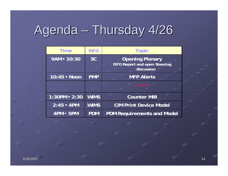# Agenda – Thursday 4/26

| <b>Time</b>      | W/G         | <b>Topic</b>                                                                 |
|------------------|-------------|------------------------------------------------------------------------------|
| 9AM = 10:30      | <b>SC</b>   | <b>Opening Plenary</b><br><b>ISTO Report and open Steering</b><br>discussion |
| 10:45 - Noon     | <b>PMP</b>  | <b>MFP Alerts</b>                                                            |
|                  |             | $\equiv$ Lunch .                                                             |
| $1:30PM - 2:30$  | <b>WIMS</b> | <b>Counter MIB</b>                                                           |
| $2:45 - 4PM$     | <b>WIMS</b> | <b>CIM Print Device Model</b>                                                |
| <b>4PM - 5PM</b> | <b>PDM</b>  | <b>PDM Requirements and Model</b>                                            |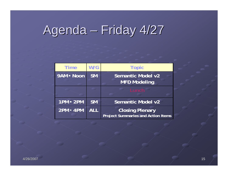# Agenda – Friday 4/27

| <b>Time</b>      | W/G        | <b>Topic</b>                                                        |
|------------------|------------|---------------------------------------------------------------------|
| 9AM - Noon       | <b>SM</b>  | Semantic Model v2<br><b>MFD Modeling</b>                            |
|                  |            | Lunch                                                               |
| $1PM - 2PM$      | <b>SM</b>  | Semantic Model v2                                                   |
| <b>2PM - 4PM</b> | <b>ALL</b> | <b>Closing Plenary</b><br><b>Project Summaries and Action Items</b> |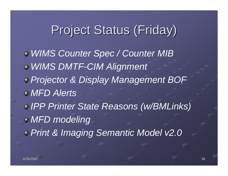### Project Status (Friday)

*WIMS Counter Spec / Counter MIB WIMS DMTF-CIM Alignment Projector & Display Management BOF MFD AlertsIPP Printer State Reasons (w/BMLinks) MFD modeling Print & Imaging Semantic Model v2.0*